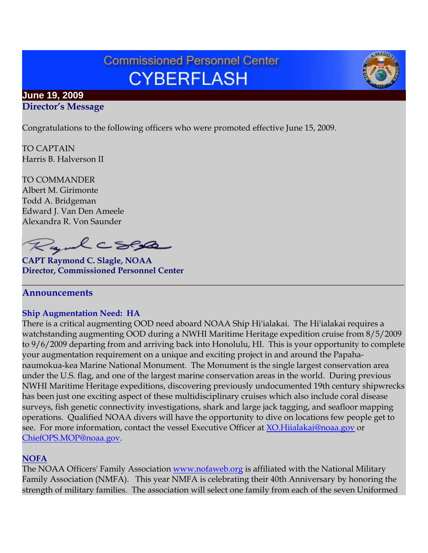# **Commissioned Personnel Center CYBERFLASH**

## **June 19, 2009 Director's Message**

Congratulations to the following officers who were promoted effective June 15, 2009.

TO CAPTAIN Harris B. Halverson II

TO COMMANDER Albert M. Girimonte Todd A. Bridgeman Edward J. Van Den Ameele Alexandra R. Von Saunder

Rydcsep

**CAPT Raymond C. Slagle, NOAA Director, Commissioned Personnel Center**

## **Announcements**

#### **Ship Augmentation Need: HA**

There is a critical augmenting OOD need aboard NOAA Ship Hi'ialakai. The Hi'ialakai requires a watchstanding augmenting OOD during a NWHI Maritime Heritage expedition cruise from 8/5/2009 to 9/6/2009 departing from and arriving back into Honolulu, HI. This is your opportunity to complete your augmentation requirement on a unique and exciting project in and around the Papahanaumokua-kea Marine National Monument. The Monument is the single largest conservation area under the U.S. flag, and one of the largest marine conservation areas in the world. During previous NWHI Maritime Heritage expeditions, discovering previously undocumented 19th century shipwrecks has been just one exciting aspect of these multidisciplinary cruises which also include coral disease surveys, fish genetic connectivity investigations, shark and large jack tagging, and seafloor mapping operations. Qualified NOAA divers will have the opportunity to dive on locations few people get to see. For more information, contact the vessel Executive Officer at [XO.Hiialakai@noaa.gov](mailto:XO.Hiialakai@noaa.gov) or [ChiefOPS.MOP@noaa.gov.](mailto:ChiefOPS.MOP@noaa.gov)

**\_\_\_\_\_\_\_\_\_\_\_\_\_\_\_\_\_\_\_\_\_\_\_\_\_\_\_\_\_\_\_\_\_\_\_\_\_\_\_\_\_\_\_\_\_\_\_\_\_\_\_\_\_\_\_\_\_\_\_\_\_\_\_\_\_\_\_\_\_\_\_\_\_\_\_\_\_\_\_\_\_**

## **NOFA**

The NOAA Officers' Family Association [www.nofaweb.org](http://www.nofaweb.org/) is affiliated with the National Military Family Association (NMFA). This year NMFA is celebrating their 40th Anniversary by honoring the strength of military families. The association will select one family from each of the seven Uniformed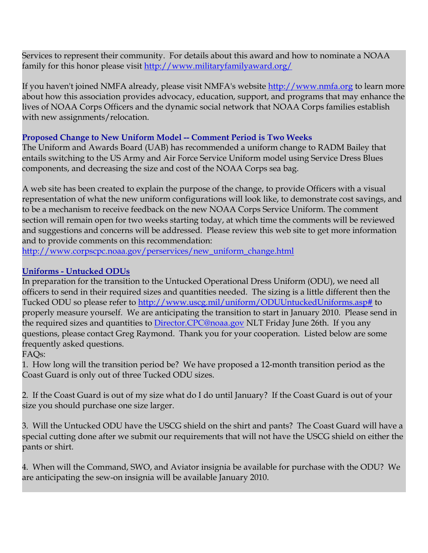Services to represent their community. For details about this award and how to nominate a NOAA family for this honor please visit [http://www.militaryfamilyaward.org/](http://www.nmfa.org/site/R?i=IYQkeFKjiH1HYTUpxNx_CA..)

If you haven't joined NMFA already, please visit NMFA's website [http://www.nmfa.org](http://www.nmfa.org/) to learn more about how this association provides advocacy, education, support, and programs that may enhance the lives of NOAA Corps Officers and the dynamic social network that NOAA Corps families establish with new assignments/relocation.

## **Proposed Change to New Uniform Model -- Comment Period is Two Weeks**

The Uniform and Awards Board (UAB) has recommended a uniform change to RADM Bailey that entails switching to the US Army and Air Force Service Uniform model using Service Dress Blues components, and decreasing the size and cost of the NOAA Corps sea bag.

A web site has been created to explain the purpose of the change, to provide Officers with a visual representation of what the new uniform configurations will look like, to demonstrate cost savings, and to be a mechanism to receive feedback on the new NOAA Corps Service Uniform. The comment section will remain open for two weeks starting today, at which time the comments will be reviewed and suggestions and concerns will be addressed. Please review this web site to get more information and to provide comments on this recommendation:

[http://www.corpscpc.noaa.gov/perservices/new\\_uniform\\_change.html](http://www.corpscpc.noaa.gov/perservices/new_uniform_change.html)

## **Uniforms - Untucked ODUs**

In preparation for the transition to the Untucked Operational Dress Uniform (ODU), we need all officers to send in their required sizes and quantities needed. The sizing is a little different then the Tucked ODU so please refer to [http://www.uscg.mil/uniform/ODUUntuckedUniforms.asp#](http://www.uscg.mil/uniform/ODUUntuckedUniforms.asp) to properly measure yourself. We are anticipating the transition to start in January 2010. Please send in the required sizes and quantities to [Director.CPC@noaa.gov](mailto:Director.CPC@noaa.gov) NLT Friday June 26th. If you any questions, please contact Greg Raymond. Thank you for your cooperation. Listed below are some frequently asked questions.

# FAQs:

1. How long will the transition period be? We have proposed a 12-month transition period as the Coast Guard is only out of three Tucked ODU sizes.

2. If the Coast Guard is out of my size what do I do until January? If the Coast Guard is out of your size you should purchase one size larger.

3. Will the Untucked ODU have the USCG shield on the shirt and pants? The Coast Guard will have a special cutting done after we submit our requirements that will not have the USCG shield on either the pants or shirt.

4. When will the Command, SWO, and Aviator insignia be available for purchase with the ODU? We are anticipating the sew-on insignia will be available January 2010.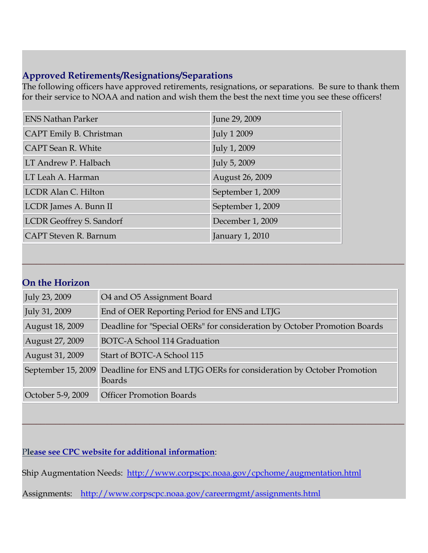# **Approved Retirements/Resignations/Separations**

The following officers have approved retirements, resignations, or separations. Be sure to thank them for their service to NOAA and nation and wish them the best the next time you see these officers!

| <b>ENS Nathan Parker</b>        | June 29, 2009      |
|---------------------------------|--------------------|
| CAPT Emily B. Christman         | <b>July 1 2009</b> |
| CAPT Sean R. White              | July 1, 2009       |
| LT Andrew P. Halbach            | July 5, 2009       |
| LT Leah A. Harman               | August 26, 2009    |
| LCDR Alan C. Hilton             | September 1, 2009  |
| LCDR James A. Bunn II           | September 1, 2009  |
| <b>LCDR Geoffrey S. Sandorf</b> | December 1, 2009   |
| <b>CAPT</b> Steven R. Barnum    | January 1, 2010    |

# **On the Horizon**

| July 23, 2009      | O4 and O5 Assignment Board                                                             |
|--------------------|----------------------------------------------------------------------------------------|
| July 31, 2009      | End of OER Reporting Period for ENS and LTJG                                           |
| August 18, 2009    | Deadline for "Special OERs" for consideration by October Promotion Boards              |
| August 27, 2009    | <b>BOTC-A School 114 Graduation</b>                                                    |
| August 31, 2009    | Start of BOTC-A School 115                                                             |
| September 15, 2009 | Deadline for ENS and LTJG OERs for consideration by October Promotion<br><b>Boards</b> |
| October 5-9, 2009  | <b>Officer Promotion Boards</b>                                                        |

**\_\_\_\_\_\_\_\_\_\_\_\_\_\_\_\_\_\_\_\_\_\_\_\_\_\_\_\_\_\_\_\_\_\_\_\_\_\_\_\_\_\_\_\_\_\_\_\_\_\_\_\_\_\_\_\_\_\_\_\_\_\_\_\_\_\_\_\_\_\_\_\_\_\_\_\_\_\_\_\_\_**

**\_\_\_\_\_\_\_\_\_\_\_\_\_\_\_\_\_\_\_\_\_\_\_\_\_\_\_\_\_\_\_\_\_\_\_\_\_\_\_\_\_\_\_\_\_\_\_\_\_\_\_\_\_\_\_\_\_\_\_\_\_\_\_\_\_\_\_\_\_\_\_\_\_\_\_\_\_\_\_\_\_**

P**lease see CPC website for additional information**:

Ship Augmentation Needs: <http://www.corpscpc.noaa.gov/cpchome/augmentation.html>

Assignments: <http://www.corpscpc.noaa.gov/careermgmt/assignments.html>